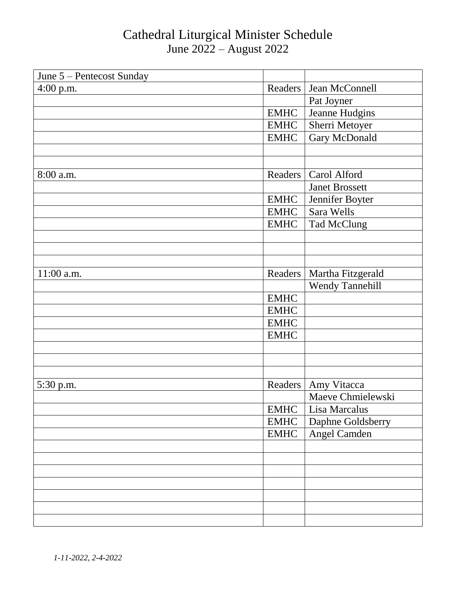| June 5 - Pentecost Sunday |             |                        |
|---------------------------|-------------|------------------------|
| $4:00$ p.m.               | Readers     | Jean McConnell         |
|                           |             | Pat Joyner             |
|                           | <b>EMHC</b> | Jeanne Hudgins         |
|                           | <b>EMHC</b> | Sherri Metoyer         |
|                           | <b>EMHC</b> | Gary McDonald          |
|                           |             |                        |
|                           |             |                        |
| 8:00 a.m.                 | Readers     | Carol Alford           |
|                           |             | <b>Janet Brossett</b>  |
|                           | <b>EMHC</b> | Jennifer Boyter        |
|                           | <b>EMHC</b> | Sara Wells             |
|                           | <b>EMHC</b> | Tad McClung            |
|                           |             |                        |
|                           |             |                        |
|                           |             |                        |
| 11:00 a.m.                | Readers     | Martha Fitzgerald      |
|                           |             | <b>Wendy Tannehill</b> |
|                           | <b>EMHC</b> |                        |
|                           | <b>EMHC</b> |                        |
|                           | <b>EMHC</b> |                        |
|                           | <b>EMHC</b> |                        |
|                           |             |                        |
|                           |             |                        |
|                           |             |                        |
| 5:30 p.m.                 | Readers     | Amy Vitacca            |
|                           |             | Maeve Chmielewski      |
|                           | <b>EMHC</b> | Lisa Marcalus          |
|                           | <b>EMHC</b> | Daphne Goldsberry      |
|                           | <b>EMHC</b> | Angel Camden           |
|                           |             |                        |
|                           |             |                        |
|                           |             |                        |
|                           |             |                        |
|                           |             |                        |
|                           |             |                        |
|                           |             |                        |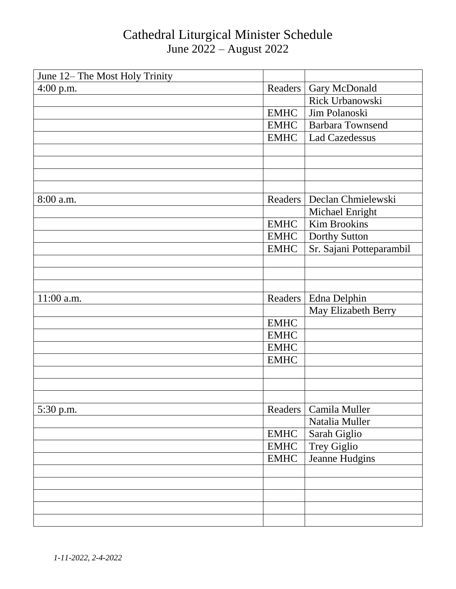| June 12– The Most Holy Trinity |             |                          |
|--------------------------------|-------------|--------------------------|
| $4:00$ p.m.                    | Readers     | Gary McDonald            |
|                                |             | Rick Urbanowski          |
|                                | <b>EMHC</b> | Jim Polanoski            |
|                                | <b>EMHC</b> | <b>Barbara Townsend</b>  |
|                                | <b>EMHC</b> | <b>Lad Cazedessus</b>    |
|                                |             |                          |
|                                |             |                          |
|                                |             |                          |
|                                |             |                          |
| 8:00 a.m.                      | Readers     | Declan Chmielewski       |
|                                |             | Michael Enright          |
|                                | <b>EMHC</b> | <b>Kim Brookins</b>      |
|                                | <b>EMHC</b> | Dorthy Sutton            |
|                                | <b>EMHC</b> | Sr. Sajani Potteparambil |
|                                |             |                          |
|                                |             |                          |
|                                |             |                          |
| 11:00 a.m.                     | Readers     | Edna Delphin             |
|                                |             | May Elizabeth Berry      |
|                                | <b>EMHC</b> |                          |
|                                | <b>EMHC</b> |                          |
|                                | <b>EMHC</b> |                          |
|                                | <b>EMHC</b> |                          |
|                                |             |                          |
|                                |             |                          |
|                                |             |                          |
| 5:30 p.m.                      | Readers     | Camila Muller            |
|                                |             | Natalia Muller           |
|                                | <b>EMHC</b> | Sarah Giglio             |
|                                | <b>EMHC</b> | Trey Giglio              |
|                                | <b>EMHC</b> | Jeanne Hudgins           |
|                                |             |                          |
|                                |             |                          |
|                                |             |                          |
|                                |             |                          |
|                                |             |                          |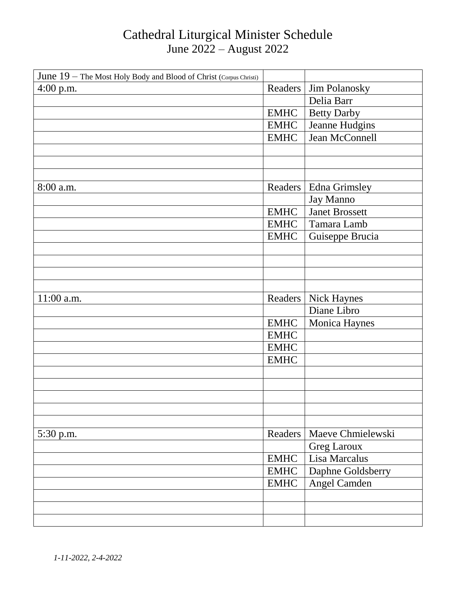| June 19 - The Most Holy Body and Blood of Christ (Corpus Christi) |             |                       |
|-------------------------------------------------------------------|-------------|-----------------------|
| $4:00$ p.m.                                                       | Readers     | Jim Polanosky         |
|                                                                   |             | Delia Barr            |
|                                                                   | <b>EMHC</b> | <b>Betty Darby</b>    |
|                                                                   | <b>EMHC</b> | Jeanne Hudgins        |
|                                                                   | <b>EMHC</b> | Jean McConnell        |
|                                                                   |             |                       |
|                                                                   |             |                       |
|                                                                   |             |                       |
| 8:00 a.m.                                                         | Readers     | <b>Edna Grimsley</b>  |
|                                                                   |             | Jay Manno             |
|                                                                   | <b>EMHC</b> | <b>Janet Brossett</b> |
|                                                                   | <b>EMHC</b> | Tamara Lamb           |
|                                                                   | <b>EMHC</b> | Guiseppe Brucia       |
|                                                                   |             |                       |
|                                                                   |             |                       |
|                                                                   |             |                       |
|                                                                   |             |                       |
| 11:00 a.m.                                                        | Readers     | <b>Nick Haynes</b>    |
|                                                                   |             | Diane Libro           |
|                                                                   | <b>EMHC</b> | Monica Haynes         |
|                                                                   | <b>EMHC</b> |                       |
|                                                                   | <b>EMHC</b> |                       |
|                                                                   | <b>EMHC</b> |                       |
|                                                                   |             |                       |
|                                                                   |             |                       |
|                                                                   |             |                       |
|                                                                   |             |                       |
|                                                                   |             |                       |
| 5:30 p.m.                                                         | Readers     | Maeve Chmielewski     |
|                                                                   |             | <b>Greg Laroux</b>    |
|                                                                   | <b>EMHC</b> | Lisa Marcalus         |
|                                                                   | <b>EMHC</b> | Daphne Goldsberry     |
|                                                                   | <b>EMHC</b> | Angel Camden          |
|                                                                   |             |                       |
|                                                                   |             |                       |
|                                                                   |             |                       |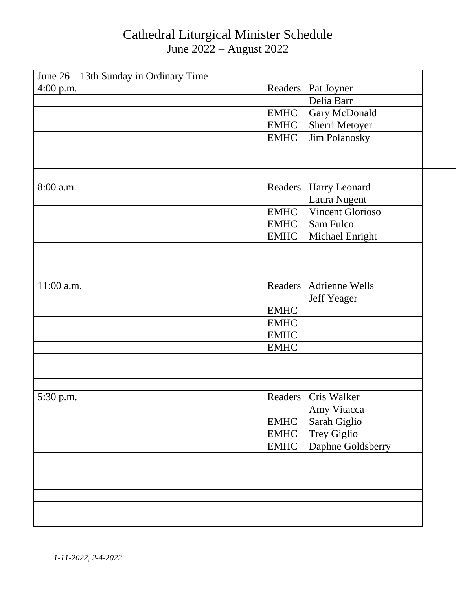| June 26 - 13th Sunday in Ordinary Time |             |                          |
|----------------------------------------|-------------|--------------------------|
| 4:00 p.m.                              | Readers     | Pat Joyner               |
|                                        |             | Delia Barr               |
|                                        | <b>EMHC</b> | Gary McDonald            |
|                                        | <b>EMHC</b> | Sherri Metoyer           |
|                                        | <b>EMHC</b> | <b>Jim Polanosky</b>     |
|                                        |             |                          |
|                                        |             |                          |
|                                        |             |                          |
| 8:00 a.m.                              | Readers     | Harry Leonard            |
|                                        |             | Laura Nugent             |
|                                        | <b>EMHC</b> | <b>Vincent Glorioso</b>  |
|                                        | <b>EMHC</b> | Sam Fulco                |
|                                        | <b>EMHC</b> | Michael Enright          |
|                                        |             |                          |
|                                        |             |                          |
|                                        |             |                          |
| 11:00 a.m.                             |             | Readers   Adrienne Wells |
|                                        |             | Jeff Yeager              |
|                                        | <b>EMHC</b> |                          |
|                                        | <b>EMHC</b> |                          |
|                                        | <b>EMHC</b> |                          |
|                                        | <b>EMHC</b> |                          |
|                                        |             |                          |
|                                        |             |                          |
|                                        |             |                          |
| 5:30 p.m.                              |             | Readers   Cris Walker    |
|                                        |             | Amy Vitacca              |
|                                        | <b>EMHC</b> | Sarah Giglio             |
|                                        | <b>EMHC</b> | Trey Giglio              |
|                                        | <b>EMHC</b> | Daphne Goldsberry        |
|                                        |             |                          |
|                                        |             |                          |
|                                        |             |                          |
|                                        |             |                          |
|                                        |             |                          |
|                                        |             |                          |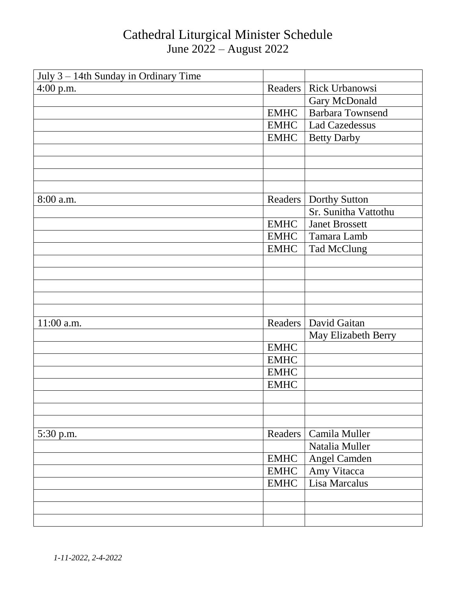| July 3 – 14th Sunday in Ordinary Time |             |                         |
|---------------------------------------|-------------|-------------------------|
| $4:00$ p.m.                           | Readers     | Rick Urbanowsi          |
|                                       |             | Gary McDonald           |
|                                       | <b>EMHC</b> | <b>Barbara Townsend</b> |
|                                       | <b>EMHC</b> | <b>Lad Cazedessus</b>   |
|                                       | <b>EMHC</b> | <b>Betty Darby</b>      |
|                                       |             |                         |
|                                       |             |                         |
|                                       |             |                         |
|                                       |             |                         |
| 8:00 a.m.                             | Readers     | Dorthy Sutton           |
|                                       |             | Sr. Sunitha Vattothu    |
|                                       | <b>EMHC</b> | <b>Janet Brossett</b>   |
|                                       | <b>EMHC</b> | Tamara Lamb             |
|                                       | <b>EMHC</b> | <b>Tad McClung</b>      |
|                                       |             |                         |
|                                       |             |                         |
|                                       |             |                         |
|                                       |             |                         |
|                                       |             |                         |
| 11:00 a.m.                            | Readers     | David Gaitan            |
|                                       |             | May Elizabeth Berry     |
|                                       | <b>EMHC</b> |                         |
|                                       | <b>EMHC</b> |                         |
|                                       | <b>EMHC</b> |                         |
|                                       | <b>EMHC</b> |                         |
|                                       |             |                         |
|                                       |             |                         |
|                                       |             |                         |
| 5:30 p.m.                             | Readers     | Camila Muller           |
|                                       |             | Natalia Muller          |
|                                       | <b>EMHC</b> | Angel Camden            |
|                                       | <b>EMHC</b> | Amy Vitacca             |
|                                       | <b>EMHC</b> | Lisa Marcalus           |
|                                       |             |                         |
|                                       |             |                         |
|                                       |             |                         |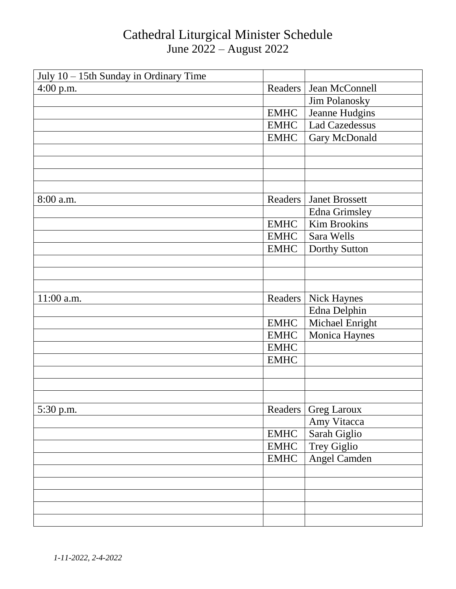| July 10 - 15th Sunday in Ordinary Time |             |                       |
|----------------------------------------|-------------|-----------------------|
| $4:00$ p.m.                            | Readers     | Jean McConnell        |
|                                        |             | Jim Polanosky         |
|                                        | <b>EMHC</b> | Jeanne Hudgins        |
|                                        | <b>EMHC</b> | <b>Lad Cazedessus</b> |
|                                        | <b>EMHC</b> | Gary McDonald         |
|                                        |             |                       |
|                                        |             |                       |
|                                        |             |                       |
|                                        |             |                       |
| 8:00 a.m.                              | Readers     | <b>Janet Brossett</b> |
|                                        |             | <b>Edna Grimsley</b>  |
|                                        | <b>EMHC</b> | <b>Kim Brookins</b>   |
|                                        | <b>EMHC</b> | Sara Wells            |
|                                        | <b>EMHC</b> | Dorthy Sutton         |
|                                        |             |                       |
|                                        |             |                       |
|                                        |             |                       |
| 11:00 a.m.                             | Readers     | <b>Nick Haynes</b>    |
|                                        |             | Edna Delphin          |
|                                        | <b>EMHC</b> | Michael Enright       |
|                                        | <b>EMHC</b> | Monica Haynes         |
|                                        | <b>EMHC</b> |                       |
|                                        | <b>EMHC</b> |                       |
|                                        |             |                       |
|                                        |             |                       |
|                                        |             |                       |
| 5:30 p.m.                              | Readers     | <b>Greg Laroux</b>    |
|                                        |             | Amy Vitacca           |
|                                        | <b>EMHC</b> | Sarah Giglio          |
|                                        | <b>EMHC</b> | Trey Giglio           |
|                                        | <b>EMHC</b> | Angel Camden          |
|                                        |             |                       |
|                                        |             |                       |
|                                        |             |                       |
|                                        |             |                       |
|                                        |             |                       |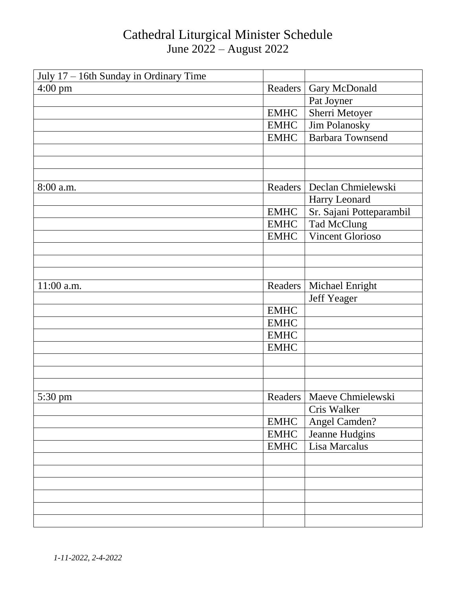| July 17 - 16th Sunday in Ordinary Time |             |                             |
|----------------------------------------|-------------|-----------------------------|
| $4:00 \text{ pm}$                      | Readers     | Gary McDonald               |
|                                        |             | Pat Joyner                  |
|                                        | <b>EMHC</b> | Sherri Metoyer              |
|                                        | <b>EMHC</b> | Jim Polanosky               |
|                                        | <b>EMHC</b> | <b>Barbara Townsend</b>     |
|                                        |             |                             |
|                                        |             |                             |
|                                        |             |                             |
| 8:00 a.m.                              | Readers     | Declan Chmielewski          |
|                                        |             | Harry Leonard               |
|                                        | <b>EMHC</b> | Sr. Sajani Potteparambil    |
|                                        | <b>EMHC</b> | Tad McClung                 |
|                                        | <b>EMHC</b> | <b>Vincent Glorioso</b>     |
|                                        |             |                             |
|                                        |             |                             |
|                                        |             |                             |
| 11:00 a.m.                             | Readers     | <b>Michael Enright</b>      |
|                                        |             | <b>Jeff Yeager</b>          |
|                                        | <b>EMHC</b> |                             |
|                                        | <b>EMHC</b> |                             |
|                                        | <b>EMHC</b> |                             |
|                                        | <b>EMHC</b> |                             |
|                                        |             |                             |
|                                        |             |                             |
|                                        |             |                             |
| 5:30 pm                                |             | Readers   Maeve Chmielewski |
|                                        |             | Cris Walker                 |
|                                        | <b>EMHC</b> | Angel Camden?               |
|                                        | <b>EMHC</b> | Jeanne Hudgins              |
|                                        | <b>EMHC</b> | Lisa Marcalus               |
|                                        |             |                             |
|                                        |             |                             |
|                                        |             |                             |
|                                        |             |                             |
|                                        |             |                             |
|                                        |             |                             |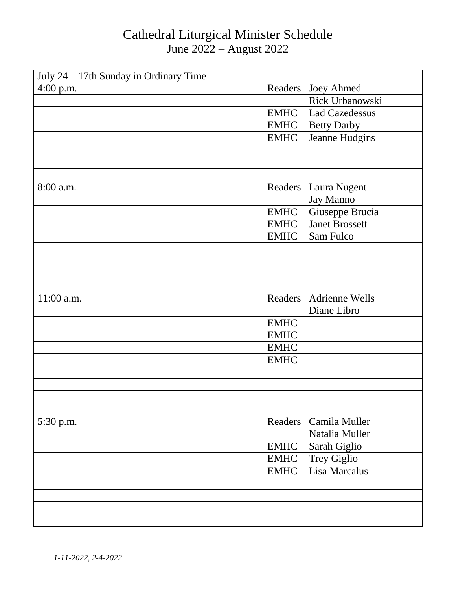| July 24 - 17th Sunday in Ordinary Time |             |                       |
|----------------------------------------|-------------|-----------------------|
| $4:00$ p.m.                            | Readers     | <b>Joey Ahmed</b>     |
|                                        |             | Rick Urbanowski       |
|                                        | <b>EMHC</b> | <b>Lad Cazedessus</b> |
|                                        | <b>EMHC</b> | <b>Betty Darby</b>    |
|                                        | <b>EMHC</b> | Jeanne Hudgins        |
|                                        |             |                       |
|                                        |             |                       |
|                                        |             |                       |
| 8:00 a.m.                              | Readers     | Laura Nugent          |
|                                        |             | Jay Manno             |
|                                        | <b>EMHC</b> | Giuseppe Brucia       |
|                                        | <b>EMHC</b> | <b>Janet Brossett</b> |
|                                        | <b>EMHC</b> | Sam Fulco             |
|                                        |             |                       |
|                                        |             |                       |
|                                        |             |                       |
|                                        |             |                       |
| 11:00 a.m.                             | Readers     | <b>Adrienne Wells</b> |
|                                        |             | Diane Libro           |
|                                        | <b>EMHC</b> |                       |
|                                        | <b>EMHC</b> |                       |
|                                        | <b>EMHC</b> |                       |
|                                        | <b>EMHC</b> |                       |
|                                        |             |                       |
|                                        |             |                       |
|                                        |             |                       |
|                                        |             |                       |
| 5:30 p.m.                              | Readers     | Camila Muller         |
|                                        |             | Natalia Muller        |
|                                        | <b>EMHC</b> | Sarah Giglio          |
|                                        | <b>EMHC</b> | Trey Giglio           |
|                                        | <b>EMHC</b> | Lisa Marcalus         |
|                                        |             |                       |
|                                        |             |                       |
|                                        |             |                       |
|                                        |             |                       |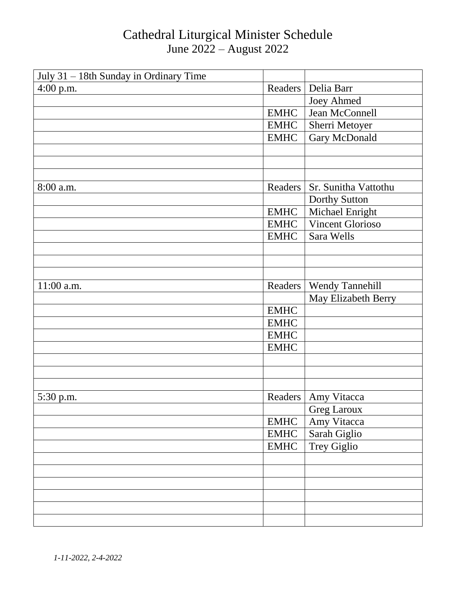| July 31 - 18th Sunday in Ordinary Time |             |                         |
|----------------------------------------|-------------|-------------------------|
| $4:00$ p.m.                            | Readers     | Delia Barr              |
|                                        |             | <b>Joey Ahmed</b>       |
|                                        | <b>EMHC</b> | Jean McConnell          |
|                                        | <b>EMHC</b> | Sherri Metoyer          |
|                                        | <b>EMHC</b> | Gary McDonald           |
|                                        |             |                         |
|                                        |             |                         |
|                                        |             |                         |
| 8:00 a.m.                              | Readers     | Sr. Sunitha Vattothu    |
|                                        |             | Dorthy Sutton           |
|                                        | <b>EMHC</b> | Michael Enright         |
|                                        | <b>EMHC</b> | <b>Vincent Glorioso</b> |
|                                        | <b>EMHC</b> | Sara Wells              |
|                                        |             |                         |
|                                        |             |                         |
|                                        |             |                         |
| 11:00 a.m.                             | Readers     | <b>Wendy Tannehill</b>  |
|                                        |             | May Elizabeth Berry     |
|                                        | <b>EMHC</b> |                         |
|                                        | <b>EMHC</b> |                         |
|                                        | <b>EMHC</b> |                         |
|                                        | <b>EMHC</b> |                         |
|                                        |             |                         |
|                                        |             |                         |
|                                        |             |                         |
| 5:30 p.m.                              |             | Readers   Amy Vitacca   |
|                                        |             | <b>Greg Laroux</b>      |
|                                        | <b>EMHC</b> | Amy Vitacca             |
|                                        | <b>EMHC</b> | Sarah Giglio            |
|                                        | <b>EMHC</b> | Trey Giglio             |
|                                        |             |                         |
|                                        |             |                         |
|                                        |             |                         |
|                                        |             |                         |
|                                        |             |                         |
|                                        |             |                         |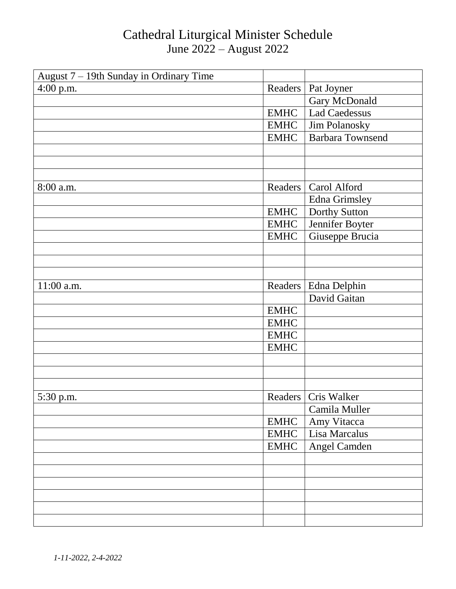| August 7 - 19th Sunday in Ordinary Time |             |                         |
|-----------------------------------------|-------------|-------------------------|
| 4:00 p.m.                               | Readers     | Pat Joyner              |
|                                         |             | Gary McDonald           |
|                                         | <b>EMHC</b> | <b>Lad Caedessus</b>    |
|                                         | <b>EMHC</b> | Jim Polanosky           |
|                                         | <b>EMHC</b> | <b>Barbara Townsend</b> |
|                                         |             |                         |
|                                         |             |                         |
|                                         |             |                         |
| 8:00 a.m.                               | Readers     | Carol Alford            |
|                                         |             | Edna Grimsley           |
|                                         | <b>EMHC</b> | Dorthy Sutton           |
|                                         | <b>EMHC</b> | Jennifer Boyter         |
|                                         | <b>EMHC</b> | Giuseppe Brucia         |
|                                         |             |                         |
|                                         |             |                         |
|                                         |             |                         |
| 11:00 a.m.                              | Readers     | Edna Delphin            |
|                                         |             | David Gaitan            |
|                                         | <b>EMHC</b> |                         |
|                                         | <b>EMHC</b> |                         |
|                                         | <b>EMHC</b> |                         |
|                                         | <b>EMHC</b> |                         |
|                                         |             |                         |
|                                         |             |                         |
|                                         |             |                         |
| 5:30 p.m.                               |             | Readers   Cris Walker   |
|                                         |             | Camila Muller           |
|                                         | <b>EMHC</b> | Amy Vitacca             |
|                                         | <b>EMHC</b> | Lisa Marcalus           |
|                                         | <b>EMHC</b> | Angel Camden            |
|                                         |             |                         |
|                                         |             |                         |
|                                         |             |                         |
|                                         |             |                         |
|                                         |             |                         |
|                                         |             |                         |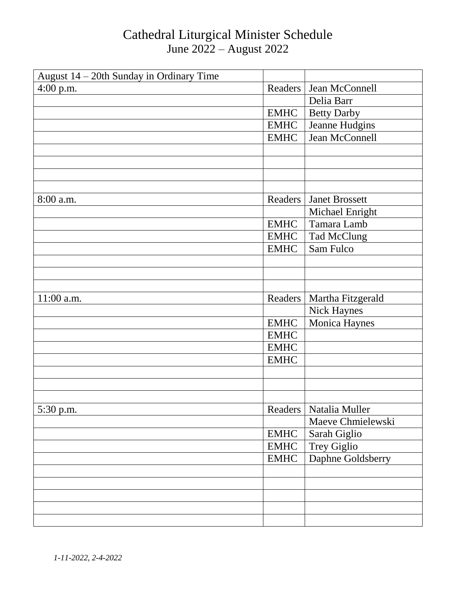| August 14 - 20th Sunday in Ordinary Time |             |                       |
|------------------------------------------|-------------|-----------------------|
| 4:00 p.m.                                | Readers     | Jean McConnell        |
|                                          |             | Delia Barr            |
|                                          | <b>EMHC</b> | <b>Betty Darby</b>    |
|                                          | <b>EMHC</b> | Jeanne Hudgins        |
|                                          | <b>EMHC</b> | Jean McConnell        |
|                                          |             |                       |
|                                          |             |                       |
|                                          |             |                       |
|                                          |             |                       |
| 8:00 a.m.                                | Readers     | <b>Janet Brossett</b> |
|                                          |             | Michael Enright       |
|                                          | <b>EMHC</b> | Tamara Lamb           |
|                                          | <b>EMHC</b> | <b>Tad McClung</b>    |
|                                          | <b>EMHC</b> | Sam Fulco             |
|                                          |             |                       |
|                                          |             |                       |
|                                          |             |                       |
| 11:00 a.m.                               | Readers     | Martha Fitzgerald     |
|                                          |             | <b>Nick Haynes</b>    |
|                                          | <b>EMHC</b> | Monica Haynes         |
|                                          | <b>EMHC</b> |                       |
|                                          | <b>EMHC</b> |                       |
|                                          | <b>EMHC</b> |                       |
|                                          |             |                       |
|                                          |             |                       |
|                                          |             |                       |
| 5:30 p.m.                                | Readers     | Natalia Muller        |
|                                          |             | Maeve Chmielewski     |
|                                          | <b>EMHC</b> | Sarah Giglio          |
|                                          | <b>EMHC</b> | Trey Giglio           |
|                                          | <b>EMHC</b> | Daphne Goldsberry     |
|                                          |             |                       |
|                                          |             |                       |
|                                          |             |                       |
|                                          |             |                       |
|                                          |             |                       |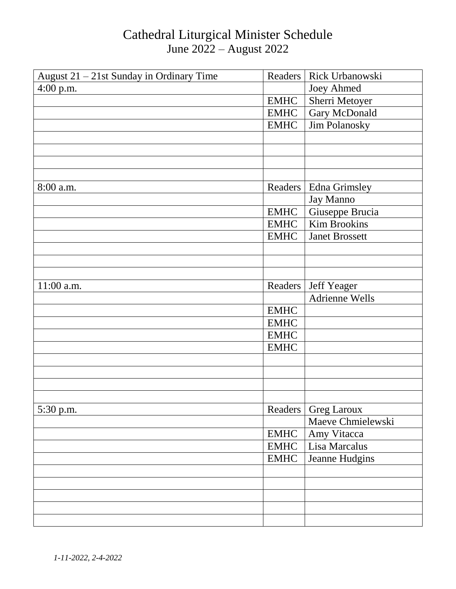| August $21 - 21$ st Sunday in Ordinary Time | Readers     | Rick Urbanowski       |
|---------------------------------------------|-------------|-----------------------|
| $4:00$ p.m.                                 |             | <b>Joey Ahmed</b>     |
|                                             | <b>EMHC</b> | Sherri Metoyer        |
|                                             | <b>EMHC</b> | Gary McDonald         |
|                                             | <b>EMHC</b> | Jim Polanosky         |
|                                             |             |                       |
|                                             |             |                       |
|                                             |             |                       |
|                                             |             |                       |
| 8:00 a.m.                                   | Readers     | <b>Edna Grimsley</b>  |
|                                             |             | Jay Manno             |
|                                             | <b>EMHC</b> | Giuseppe Brucia       |
|                                             | <b>EMHC</b> | Kim Brookins          |
|                                             | <b>EMHC</b> | <b>Janet Brossett</b> |
|                                             |             |                       |
|                                             |             |                       |
|                                             |             |                       |
| 11:00 a.m.                                  | Readers     | <b>Jeff Yeager</b>    |
|                                             |             | <b>Adrienne Wells</b> |
|                                             | <b>EMHC</b> |                       |
|                                             | <b>EMHC</b> |                       |
|                                             | <b>EMHC</b> |                       |
|                                             | <b>EMHC</b> |                       |
|                                             |             |                       |
|                                             |             |                       |
|                                             |             |                       |
|                                             |             |                       |
| 5:30 p.m.                                   | Readers     | <b>Greg Laroux</b>    |
|                                             |             | Maeve Chmielewski     |
|                                             | <b>EMHC</b> | Amy Vitacca           |
|                                             | <b>EMHC</b> | Lisa Marcalus         |
|                                             | <b>EMHC</b> | Jeanne Hudgins        |
|                                             |             |                       |
|                                             |             |                       |
|                                             |             |                       |
|                                             |             |                       |
|                                             |             |                       |